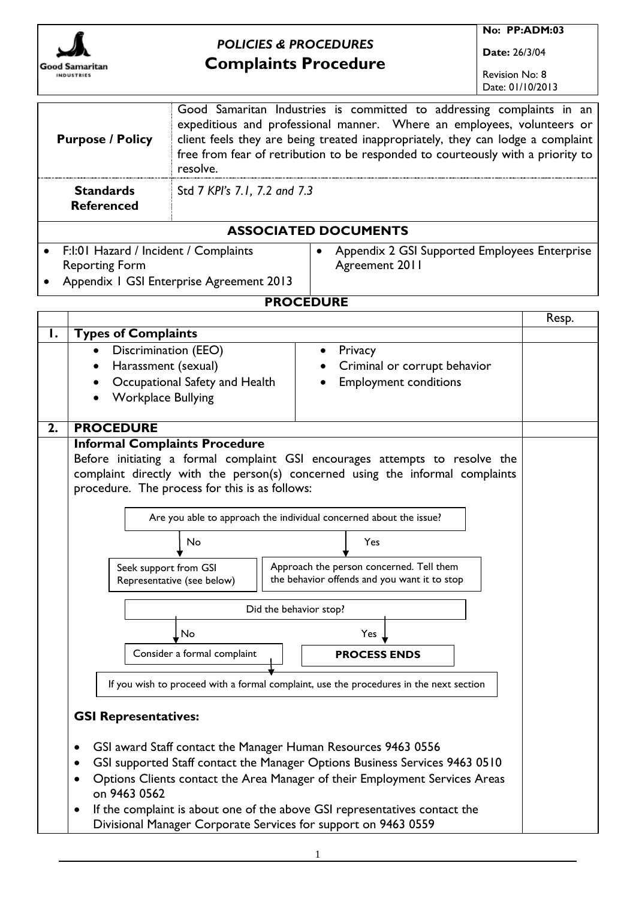

# *POLICIES & PROCEDURES* **Complaints Procedure**

**No: PP:ADM:03**

**Date:** 26/3/04

Revision No: 8 Date: 01/10/2013

| <b>Purpose / Policy</b>                  | Good Samaritan Industries is committed to addressing complaints in an<br>expeditious and professional manner. Where an employees, volunteers or<br>client feels they are being treated inappropriately, they can lodge a complaint<br>free from fear of retribution to be responded to courteously with a priority to<br>resolve. |                                                            |  |  |
|------------------------------------------|-----------------------------------------------------------------------------------------------------------------------------------------------------------------------------------------------------------------------------------------------------------------------------------------------------------------------------------|------------------------------------------------------------|--|--|
| <b>Standards</b><br><b>Referenced</b>    | Std 7 KPI's 7.1, 7.2 and 7.3                                                                                                                                                                                                                                                                                                      |                                                            |  |  |
| <b>ASSOCIATED DOCUMENTS</b>              |                                                                                                                                                                                                                                                                                                                                   |                                                            |  |  |
| • F:I:01 Hazard / Incident / Complaints  |                                                                                                                                                                                                                                                                                                                                   | Appendix 2 GSI Supported Employees Enterprise<br>$\bullet$ |  |  |
| <b>Reporting Form</b>                    |                                                                                                                                                                                                                                                                                                                                   | Agreement 2011                                             |  |  |
| Appendix   GSI Enterprise Agreement 2013 |                                                                                                                                                                                                                                                                                                                                   |                                                            |  |  |

#### **PROCEDURE**

|    |                                                                                        |                                                                                                                                              | Resp. |
|----|----------------------------------------------------------------------------------------|----------------------------------------------------------------------------------------------------------------------------------------------|-------|
| Ι. | <b>Types of Complaints</b>                                                             |                                                                                                                                              |       |
|    | Discrimination (EEO)                                                                   | Privacy                                                                                                                                      |       |
|    | Harassment (sexual)<br>$\bullet$                                                       | Criminal or corrupt behavior                                                                                                                 |       |
|    | Occupational Safety and Health                                                         | <b>Employment conditions</b>                                                                                                                 |       |
|    | <b>Workplace Bullying</b>                                                              |                                                                                                                                              |       |
|    |                                                                                        |                                                                                                                                              |       |
| 2. | <b>PROCEDURE</b>                                                                       |                                                                                                                                              |       |
|    | <b>Informal Complaints Procedure</b>                                                   |                                                                                                                                              |       |
|    |                                                                                        | Before initiating a formal complaint GSI encourages attempts to resolve the                                                                  |       |
|    |                                                                                        | complaint directly with the person(s) concerned using the informal complaints                                                                |       |
|    | procedure. The process for this is as follows:                                         |                                                                                                                                              |       |
|    |                                                                                        |                                                                                                                                              |       |
|    |                                                                                        | Are you able to approach the individual concerned about the issue?                                                                           |       |
|    | No                                                                                     | Yes                                                                                                                                          |       |
|    |                                                                                        |                                                                                                                                              |       |
|    | Seek support from GSI                                                                  | Approach the person concerned. Tell them                                                                                                     |       |
|    | Representative (see below)                                                             | the behavior offends and you want it to stop                                                                                                 |       |
|    |                                                                                        | Did the behavior stop?                                                                                                                       |       |
|    | No                                                                                     | Yes                                                                                                                                          |       |
|    |                                                                                        |                                                                                                                                              |       |
|    | Consider a formal complaint                                                            | <b>PROCESS ENDS</b>                                                                                                                          |       |
|    |                                                                                        |                                                                                                                                              |       |
|    | If you wish to proceed with a formal complaint, use the procedures in the next section |                                                                                                                                              |       |
|    |                                                                                        |                                                                                                                                              |       |
|    | <b>GSI Representatives:</b>                                                            |                                                                                                                                              |       |
|    |                                                                                        |                                                                                                                                              |       |
|    | $\bullet$                                                                              | GSI award Staff contact the Manager Human Resources 9463 0556                                                                                |       |
|    | $\bullet$                                                                              | GSI supported Staff contact the Manager Options Business Services 9463 0510                                                                  |       |
|    | ٠<br>on 9463 0562                                                                      | Options Clients contact the Area Manager of their Employment Services Areas                                                                  |       |
|    | $\bullet$                                                                              | If the complaint is about one of the above GSI representatives contact the<br>Divisional Manager Corporate Services for support on 9463 0559 |       |

1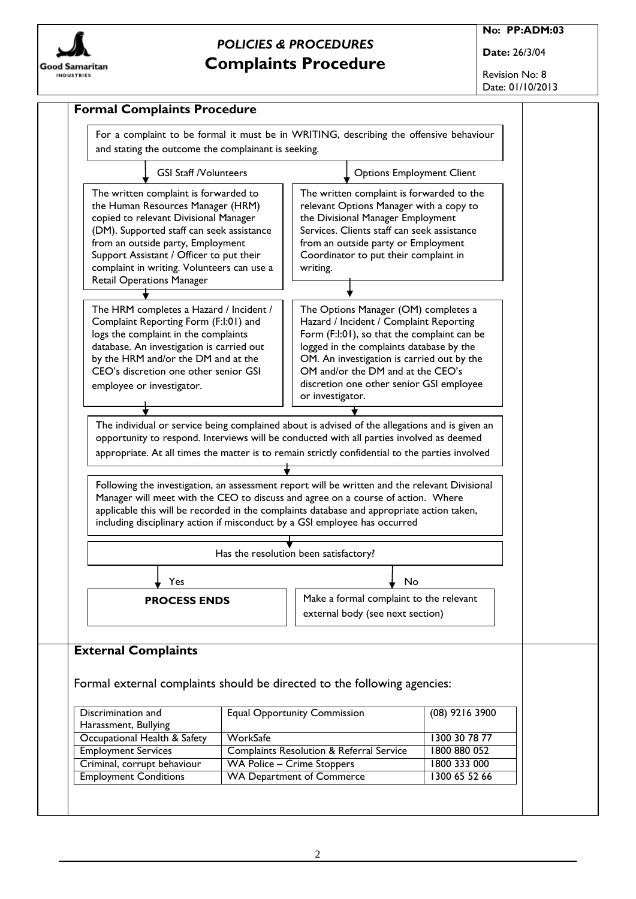

**No: PP:ADM:03**

**Date:** 26/3/04

Revision No: 8 Date: 01/10/2013

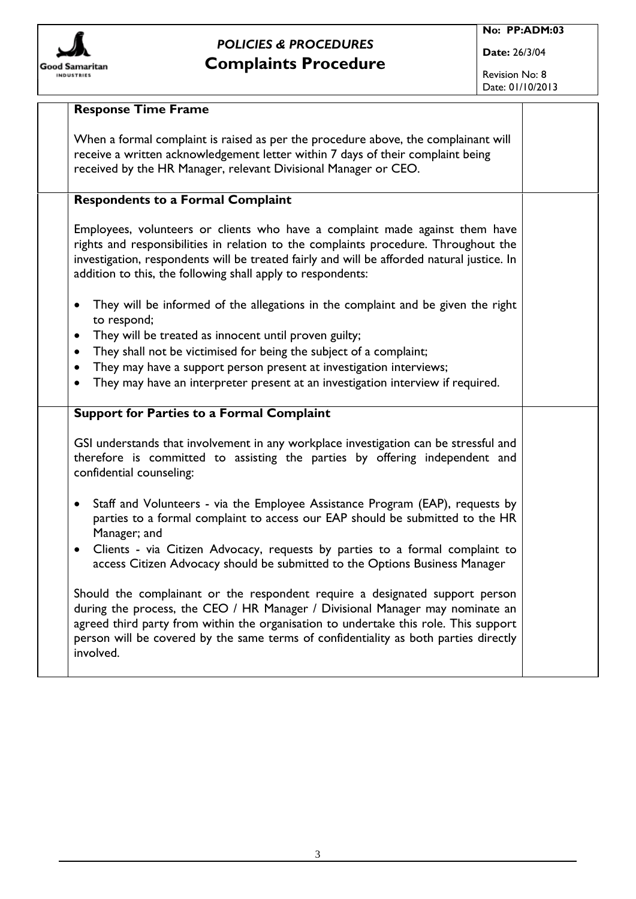

Revision No: 8 Date: 01/10/2013

| <b>Response Time Frame</b>                                                                                                                                                                                                                                                                                                                                                                                                   |  |
|------------------------------------------------------------------------------------------------------------------------------------------------------------------------------------------------------------------------------------------------------------------------------------------------------------------------------------------------------------------------------------------------------------------------------|--|
| When a formal complaint is raised as per the procedure above, the complainant will<br>receive a written acknowledgement letter within 7 days of their complaint being<br>received by the HR Manager, relevant Divisional Manager or CEO.                                                                                                                                                                                     |  |
| <b>Respondents to a Formal Complaint</b>                                                                                                                                                                                                                                                                                                                                                                                     |  |
| Employees, volunteers or clients who have a complaint made against them have<br>rights and responsibilities in relation to the complaints procedure. Throughout the<br>investigation, respondents will be treated fairly and will be afforded natural justice. In<br>addition to this, the following shall apply to respondents:                                                                                             |  |
| They will be informed of the allegations in the complaint and be given the right<br>to respond;<br>They will be treated as innocent until proven guilty;<br>$\bullet$<br>They shall not be victimised for being the subject of a complaint;<br>٠<br>They may have a support person present at investigation interviews;<br>$\bullet$<br>They may have an interpreter present at an investigation interview if required.<br>٠ |  |
| <b>Support for Parties to a Formal Complaint</b>                                                                                                                                                                                                                                                                                                                                                                             |  |
| GSI understands that involvement in any workplace investigation can be stressful and<br>therefore is committed to assisting the parties by offering independent and<br>confidential counseling:                                                                                                                                                                                                                              |  |
| Staff and Volunteers - via the Employee Assistance Program (EAP), requests by<br>$\bullet$<br>parties to a formal complaint to access our EAP should be submitted to the HR<br>Manager; and                                                                                                                                                                                                                                  |  |
| Clients - via Citizen Advocacy, requests by parties to a formal complaint to<br>$\bullet$<br>access Citizen Advocacy should be submitted to the Options Business Manager                                                                                                                                                                                                                                                     |  |
| Should the complainant or the respondent require a designated support person<br>during the process, the CEO / HR Manager / Divisional Manager may nominate an<br>agreed third party from within the organisation to undertake this role. This support<br>person will be covered by the same terms of confidentiality as both parties directly<br>involved.                                                                   |  |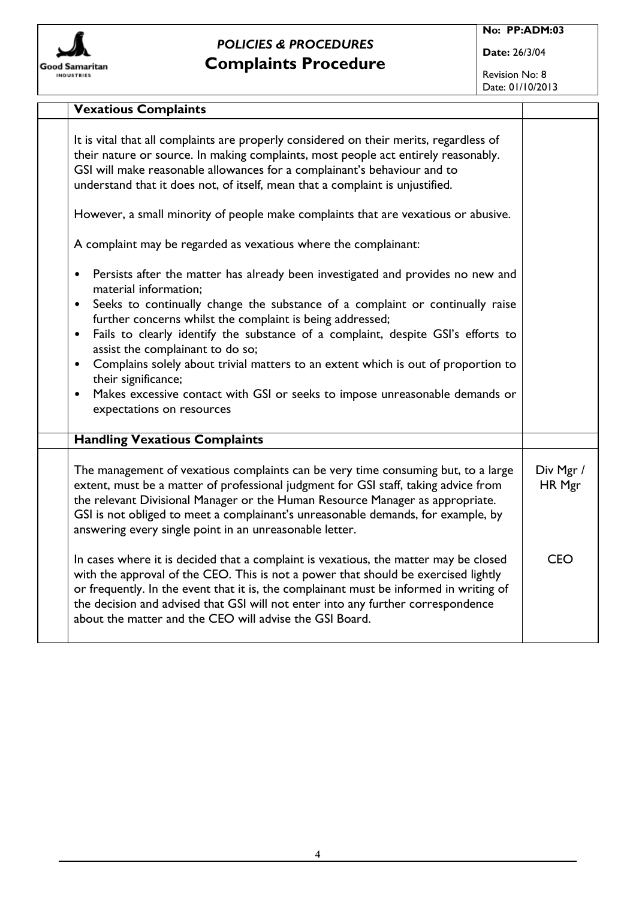

**Date:** 26/3/04

Revision No: 8 Date: 01/10/2013

| <b>Vexatious Complaints</b>                                                                                                                                                                                                                                                                                                                                                                                                                                                                                                                                                                                                                                             |                     |
|-------------------------------------------------------------------------------------------------------------------------------------------------------------------------------------------------------------------------------------------------------------------------------------------------------------------------------------------------------------------------------------------------------------------------------------------------------------------------------------------------------------------------------------------------------------------------------------------------------------------------------------------------------------------------|---------------------|
| It is vital that all complaints are properly considered on their merits, regardless of<br>their nature or source. In making complaints, most people act entirely reasonably.<br>GSI will make reasonable allowances for a complainant's behaviour and to<br>understand that it does not, of itself, mean that a complaint is unjustified.                                                                                                                                                                                                                                                                                                                               |                     |
| However, a small minority of people make complaints that are vexatious or abusive.                                                                                                                                                                                                                                                                                                                                                                                                                                                                                                                                                                                      |                     |
| A complaint may be regarded as vexatious where the complainant:                                                                                                                                                                                                                                                                                                                                                                                                                                                                                                                                                                                                         |                     |
| Persists after the matter has already been investigated and provides no new and<br>$\bullet$<br>material information;<br>Seeks to continually change the substance of a complaint or continually raise<br>$\bullet$<br>further concerns whilst the complaint is being addressed;<br>Fails to clearly identify the substance of a complaint, despite GSI's efforts to<br>$\bullet$<br>assist the complainant to do so;<br>Complains solely about trivial matters to an extent which is out of proportion to<br>$\bullet$<br>their significance;<br>Makes excessive contact with GSI or seeks to impose unreasonable demands or<br>$\bullet$<br>expectations on resources |                     |
| <b>Handling Vexatious Complaints</b>                                                                                                                                                                                                                                                                                                                                                                                                                                                                                                                                                                                                                                    |                     |
| The management of vexatious complaints can be very time consuming but, to a large<br>extent, must be a matter of professional judgment for GSI staff, taking advice from<br>the relevant Divisional Manager or the Human Resource Manager as appropriate.<br>GSI is not obliged to meet a complainant's unreasonable demands, for example, by<br>answering every single point in an unreasonable letter.                                                                                                                                                                                                                                                                | Div Mgr /<br>HR Mgr |
| In cases where it is decided that a complaint is vexatious, the matter may be closed<br>with the approval of the CEO. This is not a power that should be exercised lightly<br>or frequently. In the event that it is, the complainant must be informed in writing of<br>the decision and advised that GSI will not enter into any further correspondence<br>about the matter and the CEO will advise the GSI Board.                                                                                                                                                                                                                                                     | <b>CEO</b>          |